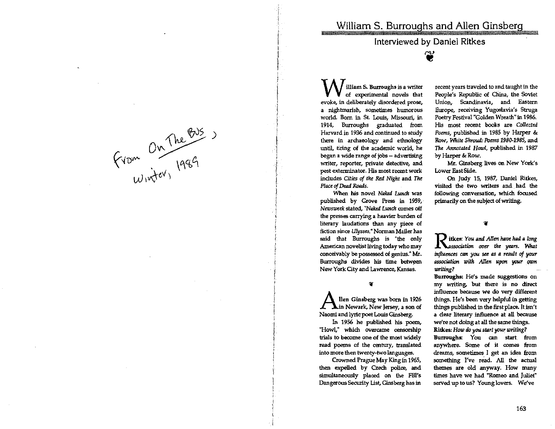Interviewed by Daniel Ritkes

'@

William **S. Burroughs is a writer of experimental novels that**  evoke, in deliberately disordered prose, **a nightmarish, sometimes humorous world Born in Sl Louis, Missouri, in**  1914, Burroughs graduated from **Harvard in 1936 and continued to study**  there in archaeology and ethnology **until, tiring of the academic world, he began a** wide' **range of jobs - advertising writer, reporter, private detective, and pest exterminator. His most recent work**  includes Cities *at the Red Night* and *The Place at Dead Roods.* 

 $\sum$ 

 $\frac{1}{4}$  , i i I J 11

i

*i*   $\vdash$ 

 $\frac{1}{2}$ 

 $\sim$  *A* $\alpha$ <sup>C</sup>

 $\det \{ \mathcal{X} \}$ 

**When his novel Naked Lunch was** published by Grove Press in 1959, *Newsweek* **stated,** *"Naked Lunch* **comes off the presses carrying a heavier burden of literary laudations than any piece of fiction since** *Ulysses."* **Norman Mailer has**  said that Burroughs is "the only **American novelist living today who may**  conceivably be possessed of genius." Mr. Burroughs divides his time **New York City and Lawrence, Kansas.** 

¥

**A lIen Ginsberg was born in <sup>1926</sup> Newark, New Jersey, a son of Naomi and lyric poet Louis Ginsberg.** 

In 1956 he published his poem, **"Howl/' which overcame censorship trials to become one of the most widely read poems of the century, translated. into more then twenty-two languages.** 

Crowned Prague May King in 1965, then expelled by Czech police, and simultaneously plaoed on the FBI's **Dangerous Securlty list, Ginsberg has in** 

**recent years traveled. to and taught in the**  People's Republic of China, the Soviet **Union, Scandinavia, and Eastern Europe, receiving YugOSlavia'S Struga**  Poetry Festival "Golden Wreath" in 1986. **His most recent books are** *Collected Poems,* published in 1985 by Harper & Row, *White Shroud: Poem' 1980-1985,* and The Annotated Howl, published in 1987 by Harper & Row.

**Mr. Ginsberg lives on New York's Lower East Side.** 

On Judy 15, 1987, Daniel Ritkes, **visited the two writers and had the following conversation, which focused**  primarily on the subject of writing.

¥

**D** itkes: You and Allen have had a long *A Association over the years. What influences* **am you** *see as* **IZ** *result* **of** *your associlltion with* **Allen upon your QW7l**  *writing?* 

**Burroughs: He's made suggestions on my writing, but there is no direct influence because we do very different**  things. He's been very helpful in getting things published in the first place. It isn't **a clear literary influence at all because we're not doing at all the same things. Ritkes:** *How do* **you** *stllrt your writing?*  **Burroughs: You can start from anywhere. Some of it comes from dreams, sometimes I get an idea from**   ${\bf some}$  **Linux I've read.** All the actual **themes are old anyway. How many times have we had "Romeo and Juliet" served up to us? Young lovers. We've**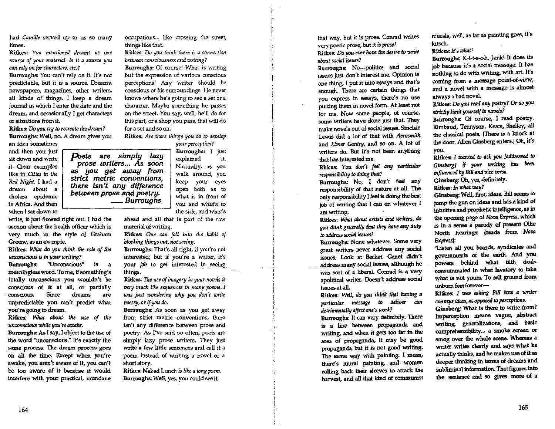had *Camille* served up to us so many times.

Ritkes! *You mentioned dreams* as *one source of your material. Is it a source you can rely on for characters, etc.?* 

Burroughs! You can't rely on it. It's not predictable, but it is a source. Dreams, newspapers, magazines, other writers, all kinds of things. I keep a dream journal in which I enter the date and the dream, and occasionally I get characters or situations from it.

Ritkes: Do *you try to recreate the dream?*  Burroughs: Well, no. A dream gives you an idea sometimes

and then you just sit down and WTite it. Gear examples like in *Cities in the Red Night.* I had a dream about a cholera epidemic in Africa. And then when I sat down to

write, it just flowed right out. I had the section about the health officer which is very much in the style of Graham Greene, as an example.

*between prose* and *poetry.* 

Ritkes: *WIuIt do* you *think the role of the unconscious is in your writing?* 

Burroughs: "Unconscious" is a meaningless word. To me, if something's totally unconscious you wouldn't be conscious of it at all, or partially . conscious. Since dreams are unpredictable you can't predict what you're going to dream.

Ritkes: *WIuIt Ilbout the us< of the u.nconscious while you're aumke.* 

Burroughs: *As* [say, I object to the use of the word "unconscious." It's exactly the same process. The dream process goes on all the time. Except when you're awake, you aren't aware of it, you can't be too aware of it because it would interfere with your practical, mundane

occupations... like crossing the street, things like that.

Ritkes: Do *you think there is a connection between consciousness and writing?* 

Burroughs: Of course! What is writing but the expression of various conscious perceptions! Any writer should be conscious of his surroundings. He never knows where he's going to see a set or a character. Maybe something he passes on the street. You say, well, he'll do for this part, or a shop you pass, that will do for a set and so on.

Ritkes: *Are there things you do to develop* 

*yourpe7ceplian.? poets are simply lazy prose writers ..• As soon*  as *you get away from strict metric conventions, there Isn't any difference*  Burroughs: I just explained it. Naturally, as you walk around, you keep your eyes open both as to what is in front of  $\frac{Burroughs}{you}$  and what's to the side, and what's

> ahead and all that is part of the raw material of writing.

> Ritkes: One can fall into the habit of *blocking things out, not seeing.*

> Burroughs: That's all right, if you're not interested; but if you're a writer, it's your *job* to get interested in seeing, things.

> Ritkes: The use of imagery in your novels is *1Jety much like sequences in many poems. I was just wondering why you don't write poetry,orifyou do.*

Burroughs: As soon as you get away from strict metric conventions, there isn't any difference between prose and poetry. As I've said so often, poets are simply lazy prose writers. They just write a few little sentences and call it a poem instead of writing a novel or a short story.

Ritkes: Naked Lunch is *like Q. long poem.*  Burroughs: Well, yes, you could see it

that way, but it is prose. Comad writes very poetic prose, but it *is prose!*  Ritkes: Do you ever *Iulve the desire to write about social* issues?

Burroughs: No-politics and social issues just don't interest me. Opinion is one thing, I put it into essays and that's enough. There are certain things that you express in essays, there's no use putting them in novel form. At least not for me. Now some people, of course, some writers have done just that. They make novels out of social issues. Sinclair Lewis did a lot of that with *Aerosmith*  and *Elmer Gantry,* and SO on. A lot of writers do. But it's not been anything that has interested me.

Ritkes: You don't feel any particular *responsibility to doing that?* 

Burroughs: No, I don't feel any responsibility of that nature at all. The only responsibility I feel is doing the best job of writing that I can on whatever I am writing.

Ritkes: *What libout Qrtists and* writers, *do you think generally that they have any duty to flddress socitll* issws?

Burroughs: None whatever. Some very great writers never address any social issues. Look at Becket. Genet didn't address many social issues, although he was sort of a liberal. Conrad is a very apolitical writer. Doesn't address sodal issues at all.

Ritkes: *Well, do* you *think that himing • particular message* to *deliver can detrimenlldly liffect one's work?* 

Burrougho: It can very definitely. There is a line between propaganda and writing, and when it gets too far in the area of propaganda, It may be good propaganda. but it is not good writing. The same way with painting. I mean, there's mural painting, and women rolling back their sleeves to attack the harvest, and all that kind of communist murals, well, as far as painting goes, it's kitsch.

Ritkes: *It's what?* 

Burroughs; K-i-t-s-c-h. Junk! It does its job because it's a social message. It has nothing to do with writing, with art. It's coming from a message point-of-view, and a novel with a message is almost always a bad novel.

Ritkes: *Do you read any poetry? Or do you strictly limit vourself to novels?* 

Burroughs: Of course, I read poetry. Rimbawl, Tennyson, Keats, Shelley. all the classical poets. ['There is a knock at the door. Allen Ginsberg enters.] Oh, it's you.

Ritkes: *I wanted to ask you laddressed to Ginsberg]* if your writing has been *influenced by Bill and vice versa.* 

Ginsberg: Oh, yes, definitely.

Ritkes: In what way?

Ginsberg: Well, first, ideas. Bill seems to jump the gun on ideas and has a kind of intuitive and prophetic intelligence, as in the opening page of *Nova Express*, which is in a sense a parody of present Ollie North hearings: [reada from Novo *Express):* 

"Lister\ all you boards, syndicates and governments of the earth. And you ·powers behind what IUth deals consummated in what lavatory to take what is not yours. To sell ground from  $umbom$  feet forever-

Ritkes: I was asking Bill how a writer *conoeys* ideils, as *opposdlo perceptions.* 

Ginsberg: What is there to write from? Imperception means vague, abstract writing, generalizations, and basic comprehensibility... a smoke screen or smog over the whole scene. Whereas a writer writes clearly and says what he actually thinks, and he makes use of It as deeper thinking in terms of dreams and subliminal information. That figures into the sentence and so gives more of a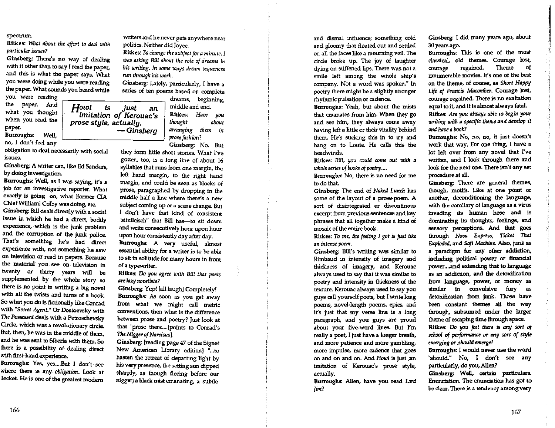## spectrum,

Ritkes: *What about the effort to deal with particular issues?* 

Ginsberg: There's no way of dealing with it other than to say I read the paper, and this is what the paper says. What you were doing while you were reading the paper. What sounds you heard while

you were reading the paper. And what you thought when you read the paper. Burroughs: Well,

no, I don't feel any

obligation to deal necessarily with social issues.

Ginsberg: A writer can, like Ed Sanders, by doing investigation.

Burroughs: Well, as I was saying, it's a job for an investigative reporter. What exactly is going on, what [former OA Chief William] Colby was doing, etc.

Ginsberg: Bill dealt directly with a social issue in which he had a direct, bodily experience, -which is the junk. problem and the corruption of the junk police. That's something he's had direct experience with, not something he saw on television or read in papers. Because the material you see on television in twenty or thirty years will be supplemented by the whole story so there is no point in writing a big novel with all the twists and turns of a book. So what you do is fictionally like Conrad with *"Secrel Agenl."* Or Dostoevsky with The *Possessed* deals with a Petroschevsky Circle, which was a revolutionary circle. But, then, he was in the middle of them, and he was sent to Siberia with them. 50 there. is a posalbility of dealing direct with first-hand experience.

Burroughs: Yes, yes .... But I don't see where there is any *Obligation.* Look at Becket. He is one of the greatest modern

writers and he never gets anywhere near politics. Neither did Joyce.

Ritkes: *To change the subject for a minute, I was IZSking Bill about the role of dreams in his writing, In some ways dream sequences run through his work,* 

Ginsberg: Lately, particularly; I have a series of ten poems based on complete

*Howl* is *just* an *imitation of Kerouac's prose style, actually. -Ginsberg*  dreams, beginning,

middle and end, Ritkes: *Have you /hought about arranging them in prose fashion?*  Ginsberg: No, But

they form little short stories, What I've gotten, too, is a long line of about 16 syllables that runs from one margin, the left hand margin, to the right hand margin, and could be seen as blocks of prose, paragraphed by dropping in the middle half a line where there's a new subject coming up or a scene change. But I don't have that kind of consistent "sitzfleisch" that Bill has-to sit down and write consecutively hour upon hour upon hour consistently day after day.

Burroughs: A very useful. almost essential ability for a writer is to be able to sit in solitude for many hours in front of a typewriter.

Ritkes: Do *you agree with Bill that poets*  !lin' *lazy novelists?* 

Ginsberg: Yup! [all laugh] Completely! Burroughs: *As* soon as you get away from what we might call metric conventions, then what is the difference between prose and poetry? Just look at that "prose there. ... [points to Conrad's *The Nigger of Narcisus].* 

Ginsberg: [reading page 47 of the Signet New American Library edition] "...to hasten the retreat of departing light by his very presence, the setting sun dipped sharply, as though fleeing before our nigger; a black mist emanating, a subtle

and dismal influence; something cold and gloomy that floated out and settled on all the faces like a mourning veil. The circle broke up. The joy of laughter dying on stiffened lips, There was not a smile left among the whole ship's company. Not a word was spoken." In poetry there might be a slightly stronger rhythmicpu1sation or cadence.

Burroughs: Yeah, but about the mists that emanates from him, When they go and see him, they always come away having left a little or their vitality behind them, He's sucking this in to try and hang on to Louie, He calls this the headwinds.

Ritkes: *Bill, you could come out with a whol, series of books of poetry ....* 

Burroughs: No, there is no need for me to do that.

Ginsberg: The end of *Naked Lunch* has some of the layout of a prose-poem. A sort of disintegrated or discontinous excerpt from previous sentences and key phrases that all together make a kind of mosaic of the entire book.

Ritkes: To me, the feeling I got is just like an intense poem.

Ginsberg: Bill's writing was similar to Rimbaud in intensity of imagery and thickness of imagery, and Kerouac always used to say that it was similar to poetry and intensity in thickness of the texture. Kerouac always used to say you guys call yourself poets, but I write long poems, novel-length poems, epics, and it's just that my verse line is a long paragraph, and you guys are proud about your five-word lines. But I'm really a poet, I just have a longer breath, and more patience and more gambling, more impulse, more cadence that goes on and on and on. And *Howl* is just ;an imitation of Kerouac's prose style, actually.

Burroughs: Allen, have you read *Lord lim?* 

Ginsberg: I did many years ago, about 30 years ago.

'f

Burroughs: This is one of the most classical, old themes. Courage lost, courage regained. Theme of innumerable movies. It's one of the best on the theme, of course, as *Short Htlppy Life of Francis Macomber.* Courage lost, courage regained. There is no exaltation equal to it, and it is almost always fatal.

Ritkes: Are you always able to begin your *writing with a specific theme and develop it ,nd /uroe a book?* 

Burroughs: No, no, no, it just doesn't work that way. For one thing, I have a lot left over from any novel that I've written, and I look through there and look for the next one. There isn't any set procedure at all.

Ginsberg: There are general themes, though, motifs. Like at one point or another, deconditioning the language, with the corollary of language as a virus invading its human hose and is dominating its thoughts, feelings, and sensory perceptions. And that goes through *Nova Express*, Ticket That *E:cplod<d,* and *Soft Machine.* Also, junk as a paradigm for any other addiction, including political power or finandal power .... and extending that to language as an addiction, and the detoxification from language, power, or money as similar in convulsive fury as detoxification from junk. Those have been constant themes all the way through, subsumed under the larger theme of escaping time through space. Ritkes: Do you feel there is any sort of school of *performance* or any sort of style *emerging* or *;Should emergt?* 

Burroughs: I would never use the word "should" No, I don't see any particularly, do you, Allen?

Ginsberg: Well, certain particulars. Enunciation. The enunciation has got to be clear. There is a tendency among very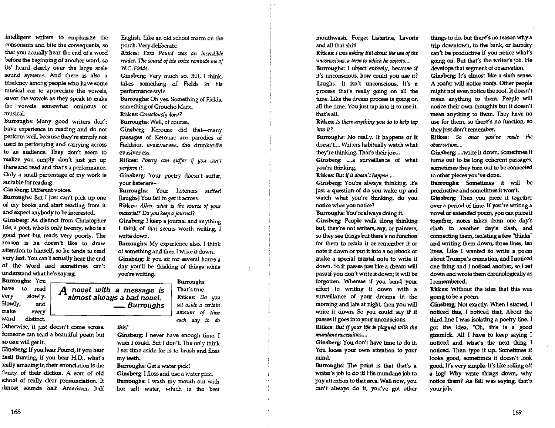intelligent writers to emphasize the consonants and bite the consequents, so that you actually hear the end of a word before the beginning of another word, so its' heard clearly over the large scale sound systems. And there is also a tendency among people who have some musical ear to appreciate the vowels, savor the vowels as they speak to make the vowels somewhat ominous or musical.

Burroughs: Many good writers don't have experience in reading and do not perform well, because they're simply not used to performing and carrying across to an audience. They don't seem to realize you simply don't just get up there and read and that's a performance. Only a small percentage of my work is suitable for reading.

Ginsberg: Different voices.

Burroughs: But I just can't pick up one of my books, and start reading from it and expect anybody to be interested.

Ginsberg: As distinct from Christopher Ide, a poet, who is only twenty, who is a good poet but reads very poorly. The reason is he doesn't like to draw attention to himself, so he tends to read very fast. You can't actually hear the end of the word and sometimes can't understand what he's saying.

BUll'oughs; Yau Burroughs: have to read very slowly. Slowly, and make every *word* distinct *each doy to do* 

Otherwise, it just doesn't come across. 3omeone can read a beautiful poem but no one will get it.

Ginsberg: If you hear Pound. if you hear 3asil Bunting, if you hear H.D., what's :eally-amazingin their enunciation is the larity of their diction. A sort of old chool of really clear pronunciation. It LImost sounds half American, half

English. *like* an old school marm on the porch. Very deliberate.

Ritkes: *Ezra Pound was an incredible reader.* The *sound of his voice reminds me of w.e. Fields.* 

Ginsberg: Very much so. Bill, I think, takes something of Fields in his periormancestyle.

Burroughs: Dh yes. Something of Fields, something of Groucho Marx.

Ritkes: *Ccnsciouslydcne?* 

Burroughs: Well, of course.

Ginsberg: Kerouac did that-many passages of Kerouac are parodies of Fieldsion evasiveness, the drunkard's evasiveness.

Ritkes: Poetry can suffer if you can't *perform* il.

Ginsberg: Your poetry doesn't suffer, your listeners-

Burroughs.: Your listeners suffer! [laughs] You fail to get it across.

Ritkes: *Allen, what* is *the source of your material?* Do *you keep a journal?* 

Ginsberg: I keep a jownai and anything I think of that seems worth writing.. I write down.

Burroughs: My experience also. I think of something and then I write it down. Ginsberg: If you sit for several hours a day you'll be thinking of things while you're writing.

> That's true. Ritkes: Do *you set aside a certain amount of time*

A novel *with* a *message is almost always* a *bad novel. \_Burroughs* 

*this?* 

Ginsberg: I never have enough time. I wish I could. But I don't. The only think I set time aside for is to brush and floss my teeth.

Burroughs; Get a water pick!

Ginsberg: I floss and use a water pick. Burroughs: I wash my mouth out with hot salt water, which is the best mouthwash. Forget Listerine, Lavoris and all that shit!

Ritkes: 1 *was asking Bill /lbout the* use *of the*   $u$ *nconscious, a term to which he objects....* Burroughs: I object entirely, because if it's unconscious, how oould. you use it? [laughs] It isn't unconscious, it's a process that's really going on all the

time. Like the dream process is going on all the time. You just tap into it to use it, that's all.

Ritkes: *Is there anything you do to help tap into it?* 

Burroughs: No really. It happens or it doesn't.... Writers habitually watch what they're thinking. That's their job...

Ginsberg: ....a surveillance of what you're thinking.

Ritkes: *But if it doesn't happen* ....

Ginsberg: You're always thinking. It's just a question of do you wake up and watch what you're thinking. do you notice what you notice?

Burroughs: You're always doing it. Ginsberg: People walk along thinking but, they're not writers, say, or painters, so they see things but there's no function for them to retain it or remember it or note it down or put it into a notebook or make a special mental note to write it down. So it passes just like a dream will pass if you don't write it down; it will be forgotten. Whereas if you bend your effort to writing it down with a surveillance of your dreams in the morning and late at night, then you will write it down. So you could say if it passes it goes into your unconscious.

Ritkes: *But if your life is plagued with the mundane necessities ....* 

Ginsberg: You don't have time to do it. You loose your own attention to your mind.

Burroughs: The point is that that's a writer's job to do it! His mundane job to pay attention to that area. Well now, you can't always do it, you've got other things to do. but there's no reason why a trip downtown, to the bank, or laundry can't be productive if you notice what's going on. But that's the writer's job. He develops that segment of observation. Ginsberg: It's almost like a sixth sense.

A roofer will notice roofs. Other people might not even notice the roof. It doesn't mean anything to them. People will notice their own thoughts but it doesn't mean anything to them. They have no use for them, so there's no function, so they just don't remember.

Ritkes: So once you've made the *observation....* 

Ginsberg: .... write it down. Sometimes it turns out to be long coherent passages, sometimes they turn out to be connected. to other pieces you've

Burroughs: Sometimes it will be productive and sometimes it won't.

Ginsberg: Then you piece it together over a period of time. If you're writing a novel or extended poem, you can piece it together, notes taken from one day's clash to another day's clash, and connecting them, isolating a *few* "thinks" and writing them down, three lines, ten lines. like I wanted. to write a poem about Trumpa's cremation, and I noticed one thing and I noticed another, so\_ I sat down and wrote them chronologically as I remembered.

Ritkes: Without the idea that this was going to be a poem.

Ginsberg: Not exactly. When I started, I noticed this, I noticed that. About the third line I was isolating a poetry line. I got the idea, "Oh, this is a good gimmick. All I have to keep saying I noticed and what's the next thing I noticed. Then type it up. Sometimes it looks good. sometimes it doesn't look good. It's very simple. It's like rolling off a log! Why write things down, why notice them? As Bill was saying. that's your job.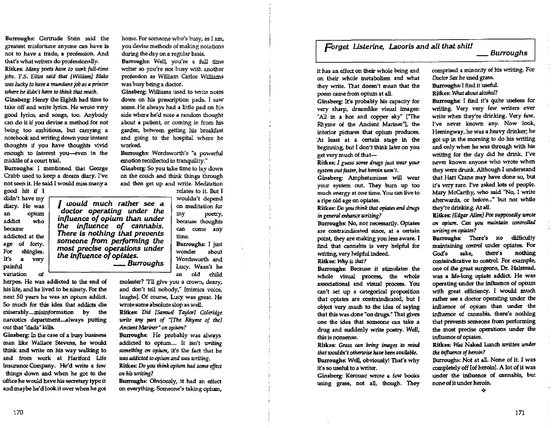Burroughs: Gertrude Stein said the greatest misfortune anyone can have is not to have a trade, a profession. And that's what writers do professionally. Ritkes: Many poets have to work full-time  $i$ obs. T.S. Elliot said that [William] Blake *was lucky* to *ha7Jt!" mundane job as a printer where he didn't have* to *think that much.* 

Ginsberg: Henry the Eighth had time to take off and write lyrics. He wrote very good lyrics, and songs, too. Anybody can do it if you devise a method. for not being too ambitious, but carrying a notebook and writing down your instant thoughts if you have thoughts vivid enough to interest you--even in the middle of a court trial.

Burroughs: I mentioned that George Crabb used to keep a dream diary. I've not seen it. He said I would miss many a

good hit if I didn't have my diary. He was an opium addict who became addicted at the age of forty. For shingles. Irs a very variation of

*I would much rather see* <sup>a</sup> *doctor operating under the influence of opium than under the Influence of cannabis. There* is *nothing that prevents someone from performing the most precise operations under the Influence of opiates.*  painful Lucy. Wasn't he *\_Burroughs* 

herpes. He was addicted to the end of his life, and he lived to be ninety. *For* the next 50 years he was an opium addict. So much for this idea that addicts die miserably....misinformation by the narcotics department....always putting out that "dada" kills.

Ginsberg: In the case of a busy business man like Wallace Stevens, he would think and write on his way walking to and from work at Hartford Life Insurance Company. He'd write a few things down and when he got to the office he would have his secretary type it and maybe he'd look it over when he got

home. For someone who's busy, as I am, you devise methods of making notations during the day on a regular basis.

Burroughs: Well, you're a full time writer so you're not busy with another profession as William Carlos Williams was busy being a doctor.

Ginsberg: Williams used to write notes down on his prescription pads. I saw some. He always had a little pad on his side where he'd note a random thought about a patient, or coming in from his garden, between getting his breakfast and going to the hospital where he worked.

Burroughs: Wordsworth's "a powerful emotion recollected in tranquility."

Ginsberg: So you take time to lay down on the couch and think things through and then get up and write. Meditation relates to it But I

> wouldn't depend on meditation for my poetry, because thoughts can come any time. Burroughs: I just

wonder about Wordsworth and an old child.

molester? "I'll give you a crown, deary, and don't tell nobody," [mimics voice, laughs]. Of course, Lucy was great. He wrote some absolute slop as well.

Ritkes: *Did [Samuel Taylor] Coleridge write any part of "[The Rhyme of the] Ancient Mariner" on opium?* 

Burroughs: He probably was always addicted to opium.... It isn't *writing* something on opium, it's the fact that he *was addicted to opium and was writing.* 

R.itkes: Do you *think opium had some e.ffect on his writing?* 

Butroughs: Obviously, it had an effect on everything. Someone's taking opium,

## *Forget Listerine, Lavoris* and *all that shit!*

## *\_Burroughs*

it has an effect on their whole being and on their whole metabolism and what they write. That doesn't mean that the poem came from opium at all.

Ginsberg: It's probably his capacity for very sharp, dreamlike visual images: "All in a hot and copper sky" ['The Rhyme of the Ancient Mariner"], the interior pictures that opium produces. 'At least at a certain stage in the beginning, but I don't think later on you get very much of that-

Ritkes: *I gwss* some *drugs just wear your*   $s$ ystem out faster, but heroin won't.

Ginsberg: Amphetamines will wear your system out. They burn up too much energy at one time. You can live to a ripe old age on opiates.

Ritkes: Do you think that opiates and drugs *in general enhance writing?* 

Burroughs: No, not necessarily. Opiates are contraindicated since, at a certain point, they are making you less aware. I find that cannabis is very helpful for writing, very helpful indeed.

Ritkes: Why is *tIw.l?* 

Burroughs: Because it stimulates the whole visual process, the whole associational and visual process. You can't set up a categorical proposition that opiates are contraindicated, but I object very much to the idea of saying that this was done "on drugs." That gives one the idea that someone can take a drug and suddenly write poetry. Well, this is nonsense.

Ritkes.: *Gnzss CQ:n bring* images *to mind that wouldn't otherwise have been available.* Burroughs: Well, obviously! That's why it's so useful to a writer.

Ginsberg; Kerouac wrote a few books using grass, not alL though. They comprised a minority of his writing. For Doctor Sax he used grass.

Burroughs: I find it useful.

Ritkes: *'What IIbout Q}cohol?* 

Burroughs: I find it's quite useless for writing. Very very few writers ever write when they're drinking. Very few. I've never known any. Now look, Hemingway, he was a heavy drinker; he got up in the morning to do his writing and only when he was through with his writing for the day did he drink. I've never known anyone who wrote when they were drunk. Although I understand that Hart Oane may have done so, but it's very rare. I've asked lots of people. Mary McCarthy, who said ''No, I write afterwards, or before..." but not while they're drinking. At all.

Ritkes: *[Edg.r All<n] Poe supposedly wrote*  on *opium.* Om you. *mainlllin controlled*  writing *on opiates?* 

Burroughs: There's no difficulty maintaining *control* under opiates. For God's sake, there's nothing containdicative to oontrol. For example, one of the great surgeons, Dr. Halstead, was a life-long opiate addict. He was operating under the influence of opium with great efficiency. I would much rather see a doctor operating under the influence of opium than under the influence of cannabis. there's nothing that prevents someone from performing the most precise operations under the influence of opiates.

Ritkes: *Was* Naked Lunch *written under the influence of heroin?* 

Burroughs: Not at all. None of it. I was completely off [of heroin]. A lot of it was under the influence of cannabis, but none of it under heroin. -Qo